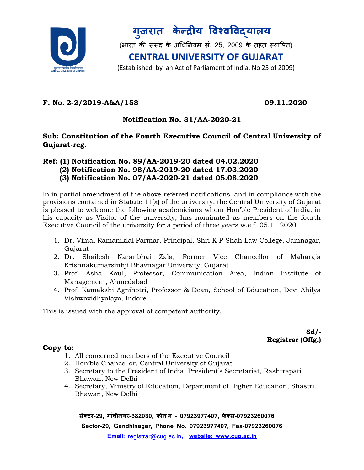

**ग ु जरात के न्द्रीय विश्िविद्यालय**

(भारत की संसद के अधिनियम सं. 25, 2009 के तहत स्थापित)

## **CENTRAL UNIVERSITY OF GUJARAT**

(Established by an Act of Parliament of India, No 25 of 2009)

#### **F. No. 2-2/2019-A&A/158 09.11.2020**

### **Notification No. 31/AA-2020-21**

**Sub: Constitution of the Fourth Executive Council of Central University of Gujarat-reg.**

## **Ref: (1) Notification No. 89/AA-2019-20 dated 04.02.2020 (2) Notification No. 98/AA-2019-20 dated 17.03.2020**

 **(3) Notification No. 07/AA-2020-21 dated 05.08.2020**

In in partial amendment of the above-referred notifications and in compliance with the provisions contained in Statute 11(x) of the university, the Central University of Gujarat is pleased to welcome the following academicians whom Hon'ble President of India, in his capacity as Visitor of the university, has nominated as members on the fourth Executive Council of the university for a period of three years w.e.f 05.11.2020.

- 1. Dr. Vimal Ramaniklal Parmar, Principal, Shri K P Shah Law College, Jamnagar, Gujarat
- 2. Dr. Shailesh Naranbhai Zala, Former Vice Chancellor of Maharaja Krishnakumarsinhji Bhavnagar University, Gujarat
- 3. Prof. Asha Kaul, Professor, Communication Area, Indian Institute of Management, Ahmedabad
- 4. Prof. Kamakshi Agnihotri, Professor & Dean, School of Education, Devi Ahilya Vishwavidhyalaya, Indore

This is issued with the approval of competent authority.

**Sd/- Registrar (Offg.)**

#### **Copy to:**

- 1. All concerned members of the Executive Council
- 2. Hon'ble Chancellor, Central University of Gujarat
- 3. Secretary to the President of India, President's Secretariat, Rashtrapati Bhawan, New Delhi
- 4. Secretary, Ministry of Education, Department of Higher Education, Shastri Bhawan, New Delhi

**सेक्टर-29, गाांधीनगर-382030, फोन नां - 07923977407, फे क्स-07923260076**

**Sector-29, Gandhinagar, Phone No. 07923977407, Fax-07923260076**